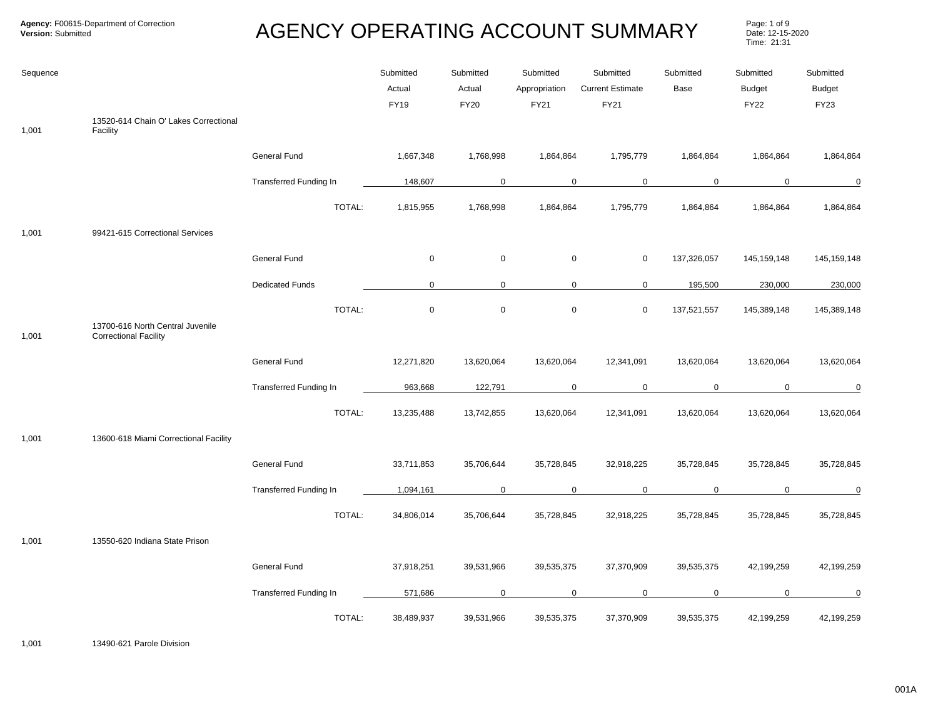Page: 1 of 9<br>Date: 12-15-2020 Time: 21:31

| Sequence |                                                                  |                               | Submitted<br>Actual<br><b>FY19</b> | Submitted<br>Actual<br><b>FY20</b> | Submitted<br>Appropriation<br>FY21 | Submitted<br><b>Current Estimate</b><br><b>FY21</b> | Submitted<br>Base | Submitted<br><b>Budget</b><br><b>FY22</b> | Submitted<br>Budget<br><b>FY23</b> |
|----------|------------------------------------------------------------------|-------------------------------|------------------------------------|------------------------------------|------------------------------------|-----------------------------------------------------|-------------------|-------------------------------------------|------------------------------------|
| 1,001    | 13520-614 Chain O' Lakes Correctional<br>Facility                |                               |                                    |                                    |                                    |                                                     |                   |                                           |                                    |
|          |                                                                  | General Fund                  | 1,667,348                          | 1,768,998                          | 1,864,864                          | 1,795,779                                           | 1,864,864         | 1,864,864                                 | 1,864,864                          |
|          |                                                                  | <b>Transferred Funding In</b> | 148,607                            | 0                                  | $\mathbf 0$                        | $\mathbf 0$                                         | $\mathbf 0$       | $\mathbf 0$                               | $\mathbf 0$                        |
|          |                                                                  | TOTAL:                        | 1,815,955                          | 1,768,998                          | 1,864,864                          | 1,795,779                                           | 1,864,864         | 1,864,864                                 | 1,864,864                          |
| 1,001    | 99421-615 Correctional Services                                  |                               |                                    |                                    |                                    |                                                     |                   |                                           |                                    |
|          |                                                                  | General Fund                  | $\mathbf 0$                        | $\mathbf 0$                        | $\boldsymbol{0}$                   | $\mathsf{O}$                                        | 137,326,057       | 145,159,148                               | 145, 159, 148                      |
|          |                                                                  | <b>Dedicated Funds</b>        | $\mathbf 0$                        | $\mathbf{0}$                       |                                    | $\mathbf 0$<br>0                                    | 195,500           | 230,000                                   | 230,000                            |
|          |                                                                  | TOTAL:                        | $\mathbf 0$                        | $\mathsf 0$                        | $\mathbf 0$                        | $\mathbf 0$                                         | 137,521,557       | 145,389,148                               | 145,389,148                        |
| 1,001    | 13700-616 North Central Juvenile<br><b>Correctional Facility</b> |                               |                                    |                                    |                                    |                                                     |                   |                                           |                                    |
|          |                                                                  | General Fund                  | 12,271,820                         | 13,620,064                         | 13,620,064                         | 12,341,091                                          | 13,620,064        | 13,620,064                                | 13,620,064                         |
|          |                                                                  | Transferred Funding In        | 963,668                            | 122,791                            | $\mathbf 0$                        | $\mathbf 0$                                         | $\mathbf 0$       | $\mathbf 0$                               | 0                                  |
|          |                                                                  | TOTAL:                        | 13,235,488                         | 13,742,855                         | 13,620,064                         | 12,341,091                                          | 13,620,064        | 13,620,064                                | 13,620,064                         |
| 1,001    | 13600-618 Miami Correctional Facility                            |                               |                                    |                                    |                                    |                                                     |                   |                                           |                                    |
|          |                                                                  | General Fund                  | 33,711,853                         | 35,706,644                         | 35,728,845                         | 32,918,225                                          | 35,728,845        | 35,728,845                                | 35,728,845                         |
|          |                                                                  | <b>Transferred Funding In</b> | 1,094,161                          | 0                                  | $\mathbf 0$                        | $\mathbf 0$                                         | $\mathbf 0$       | $\mathbf 0$                               | 0                                  |
|          |                                                                  | TOTAL:                        | 34,806,014                         | 35,706,644                         | 35,728,845                         | 32,918,225                                          | 35,728,845        | 35,728,845                                | 35,728,845                         |
| 1,001    | 13550-620 Indiana State Prison                                   |                               |                                    |                                    |                                    |                                                     |                   |                                           |                                    |
|          |                                                                  | General Fund                  | 37,918,251                         | 39,531,966                         | 39,535,375                         | 37,370,909                                          | 39,535,375        | 42,199,259                                | 42,199,259                         |
|          |                                                                  | <b>Transferred Funding In</b> | 571,686                            | 0                                  | $\mathbf 0$                        | 0                                                   | $\mathbf 0$       | $\mathbf 0$                               | 0                                  |
|          |                                                                  | TOTAL:                        | 38,489,937                         | 39,531,966                         | 39,535,375                         | 37,370,909                                          | 39,535,375        | 42,199,259                                | 42,199,259                         |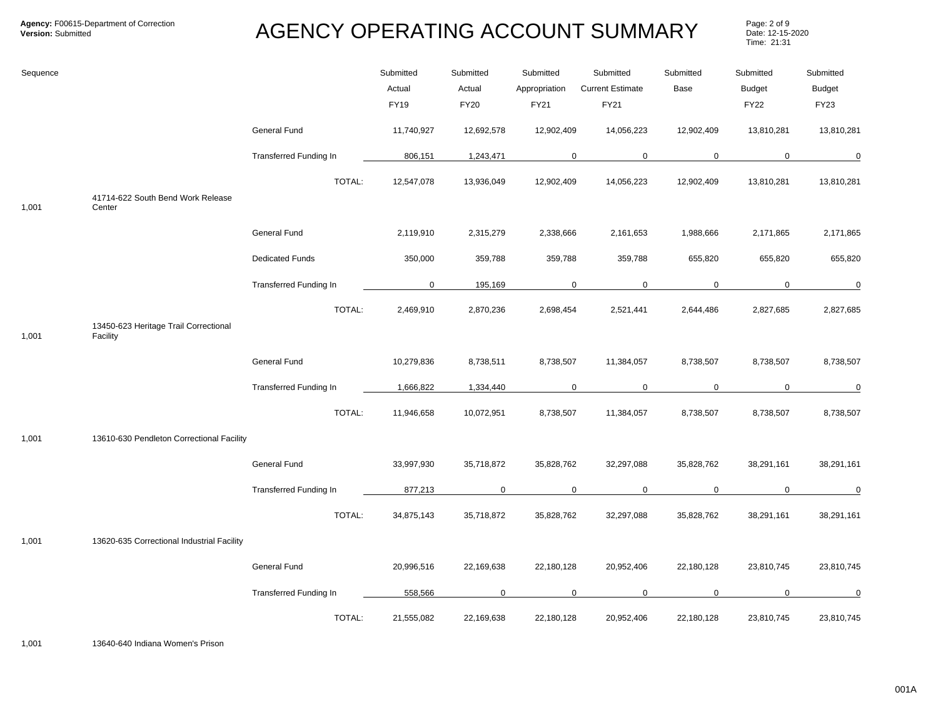Page: 2 of 9<br>Date: 12-15-2020 Time: 21:31

| Sequence |                                             |                               | Submitted<br>Actual<br>FY19 | Submitted<br>Actual<br>FY20 | Submitted<br>Appropriation<br>FY21 | Submitted<br><b>Current Estimate</b><br>FY21 | Submitted<br>Base | Submitted<br><b>Budget</b><br><b>FY22</b> | Submitted<br><b>Budget</b><br>FY23 |
|----------|---------------------------------------------|-------------------------------|-----------------------------|-----------------------------|------------------------------------|----------------------------------------------|-------------------|-------------------------------------------|------------------------------------|
|          |                                             | General Fund                  | 11,740,927                  | 12,692,578                  | 12,902,409                         | 14,056,223                                   | 12,902,409        | 13,810,281                                | 13,810,281                         |
|          |                                             | <b>Transferred Funding In</b> | 806,151                     | 1,243,471                   |                                    | $\mathbf 0$<br>$\mathbf 0$                   | $\mathbf 0$       | $\mathbf 0$                               | $\mathbf 0$                        |
| 1,001    | 41714-622 South Bend Work Release<br>Center | TOTAL:                        | 12,547,078                  | 13,936,049                  | 12,902,409                         | 14,056,223                                   | 12,902,409        | 13,810,281                                | 13,810,281                         |
|          |                                             | General Fund                  | 2,119,910                   | 2,315,279                   | 2,338,666                          | 2,161,653                                    | 1,988,666         | 2,171,865                                 | 2,171,865                          |
|          |                                             | <b>Dedicated Funds</b>        | 350,000                     | 359,788                     | 359,788                            | 359,788                                      | 655,820           | 655,820                                   | 655,820                            |
|          |                                             | <b>Transferred Funding In</b> | $\mathbf 0$                 | 195,169                     |                                    | $\mathbf 0$<br>$\mathbf 0$                   | 0                 | 0                                         | $\mathbf 0$                        |
|          | 13450-623 Heritage Trail Correctional       | TOTAL:                        | 2,469,910                   | 2,870,236                   | 2,698,454                          | 2,521,441                                    | 2,644,486         | 2,827,685                                 | 2,827,685                          |
| 1,001    | Facility                                    |                               |                             |                             |                                    |                                              |                   |                                           |                                    |
|          |                                             | General Fund                  | 10,279,836                  | 8,738,511                   | 8,738,507                          | 11,384,057                                   | 8,738,507         | 8,738,507                                 | 8,738,507                          |
|          |                                             | <b>Transferred Funding In</b> | 1,666,822                   | 1,334,440                   | $\mathbf 0$                        | $\mathbf 0$                                  | $\mathbf 0$       | $\mathbf 0$                               | 0                                  |
|          |                                             | TOTAL:                        | 11,946,658                  | 10,072,951                  | 8,738,507                          | 11,384,057                                   | 8,738,507         | 8,738,507                                 | 8,738,507                          |
| 1,001    | 13610-630 Pendleton Correctional Facility   |                               |                             |                             |                                    |                                              |                   |                                           |                                    |
|          |                                             | General Fund                  | 33,997,930                  | 35,718,872                  | 35,828,762                         | 32,297,088                                   | 35,828,762        | 38,291,161                                | 38,291,161                         |
|          |                                             | Transferred Funding In        | 877,213                     | 0                           |                                    | $\mathbf 0$<br>$\mathbf 0$                   | $\mathbf 0$       | $\mathbf 0$                               | 0                                  |
|          |                                             | TOTAL:                        | 34,875,143                  | 35,718,872                  | 35,828,762                         | 32,297,088                                   | 35,828,762        | 38,291,161                                | 38,291,161                         |
| 1,001    | 13620-635 Correctional Industrial Facility  |                               |                             |                             |                                    |                                              |                   |                                           |                                    |
|          |                                             | General Fund                  | 20,996,516                  | 22,169,638                  | 22,180,128                         | 20,952,406                                   | 22,180,128        | 23,810,745                                | 23,810,745                         |
|          |                                             | <b>Transferred Funding In</b> | 558,566                     | 0                           |                                    | $\mathbf 0$<br>$\mathbf 0$                   | 0                 | 0                                         | 0                                  |
|          |                                             | TOTAL:                        | 21,555,082                  | 22,169,638                  | 22,180,128                         | 20,952,406                                   | 22,180,128        | 23,810,745                                | 23,810,745                         |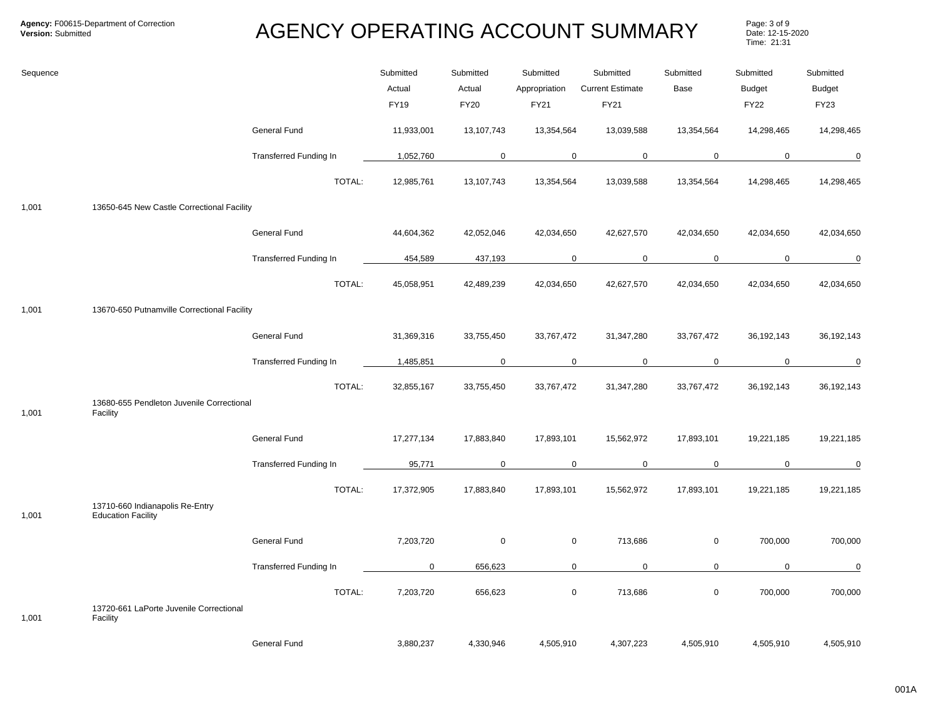Page: 3 of 9<br>Date: 12-15-2020 Time: 21:31

| Sequence |                                                              |                               | Submitted<br>Actual<br><b>FY19</b> | Submitted<br>Actual<br><b>FY20</b> | Submitted<br>Appropriation<br>FY21 | Submitted<br><b>Current Estimate</b><br>FY21 | Submitted<br>Base | Submitted<br><b>Budget</b><br><b>FY22</b> | Submitted<br><b>Budget</b><br>FY23 |
|----------|--------------------------------------------------------------|-------------------------------|------------------------------------|------------------------------------|------------------------------------|----------------------------------------------|-------------------|-------------------------------------------|------------------------------------|
|          |                                                              | General Fund                  | 11,933,001                         | 13,107,743                         | 13,354,564                         | 13,039,588                                   | 13,354,564        | 14,298,465                                | 14,298,465                         |
|          |                                                              | <b>Transferred Funding In</b> | 1,052,760                          | 0                                  | $\mathbf 0$                        | $\mathbf 0$                                  | $\mathbf 0$       | $\mathbf 0$                               | $\mathbf 0$                        |
|          |                                                              | TOTAL:                        | 12,985,761                         | 13,107,743                         | 13,354,564                         | 13,039,588                                   | 13,354,564        | 14,298,465                                | 14,298,465                         |
| 1,001    | 13650-645 New Castle Correctional Facility                   |                               |                                    |                                    |                                    |                                              |                   |                                           |                                    |
|          |                                                              | General Fund                  | 44,604,362                         | 42,052,046                         | 42,034,650                         | 42,627,570                                   | 42,034,650        | 42,034,650                                | 42,034,650                         |
|          |                                                              | <b>Transferred Funding In</b> | 454,589                            | 437,193                            | $\mathbf 0$                        | $\mathbf 0$                                  | $\mathbf 0$       | $\mathbf 0$                               | 0                                  |
|          |                                                              | TOTAL:                        | 45,058,951                         | 42,489,239                         | 42,034,650                         | 42,627,570                                   | 42,034,650        | 42,034,650                                | 42,034,650                         |
| 1,001    | 13670-650 Putnamville Correctional Facility                  |                               |                                    |                                    |                                    |                                              |                   |                                           |                                    |
|          |                                                              | General Fund                  | 31,369,316                         | 33,755,450                         | 33,767,472                         | 31,347,280                                   | 33,767,472        | 36,192,143                                | 36,192,143                         |
|          |                                                              | Transferred Funding In        | 1,485,851                          | $\mathbf 0$                        | $\mathbf 0$                        | $\mathbf 0$                                  | $\mathbf 0$       | 0                                         | $\overline{0}$                     |
|          | 13680-655 Pendleton Juvenile Correctional                    | TOTAL:                        | 32,855,167                         | 33,755,450                         | 33,767,472                         | 31,347,280                                   | 33,767,472        | 36,192,143                                | 36,192,143                         |
| 1,001    | Facility                                                     |                               |                                    |                                    |                                    |                                              |                   |                                           |                                    |
|          |                                                              | General Fund                  | 17,277,134                         | 17,883,840                         | 17,893,101                         | 15,562,972                                   | 17,893,101        | 19,221,185                                | 19,221,185                         |
|          |                                                              | <b>Transferred Funding In</b> | 95,771                             | $\mathbf 0$                        | $\mathbf 0$                        | $\mathbf 0$                                  | $\mathbf 0$       | $\mathbf 0$                               | $\mathbf 0$                        |
| 1,001    | 13710-660 Indianapolis Re-Entry<br><b>Education Facility</b> | TOTAL:                        | 17,372,905                         | 17,883,840                         | 17,893,101                         | 15,562,972                                   | 17,893,101        | 19,221,185                                | 19,221,185                         |
|          |                                                              | <b>General Fund</b>           | 7,203,720                          | $\mathbf 0$                        | $\boldsymbol{0}$                   | 713,686                                      | $\mathsf 0$       | 700,000                                   | 700,000                            |
|          |                                                              | <b>Transferred Funding In</b> | 0                                  | 656,623                            | $\mathbf 0$                        | $\mathbf 0$                                  | $\mathbf 0$       | 0                                         | $\mathbf 0$                        |
| 1,001    | 13720-661 LaPorte Juvenile Correctional<br>Facility          | TOTAL:                        | 7,203,720                          | 656,623                            | $\mathsf 0$                        | 713,686                                      | $\mathbf 0$       | 700,000                                   | 700,000                            |
|          |                                                              | <b>General Fund</b>           | 3,880,237                          | 4,330,946                          | 4,505,910                          | 4,307,223                                    | 4,505,910         | 4,505,910                                 | 4,505,910                          |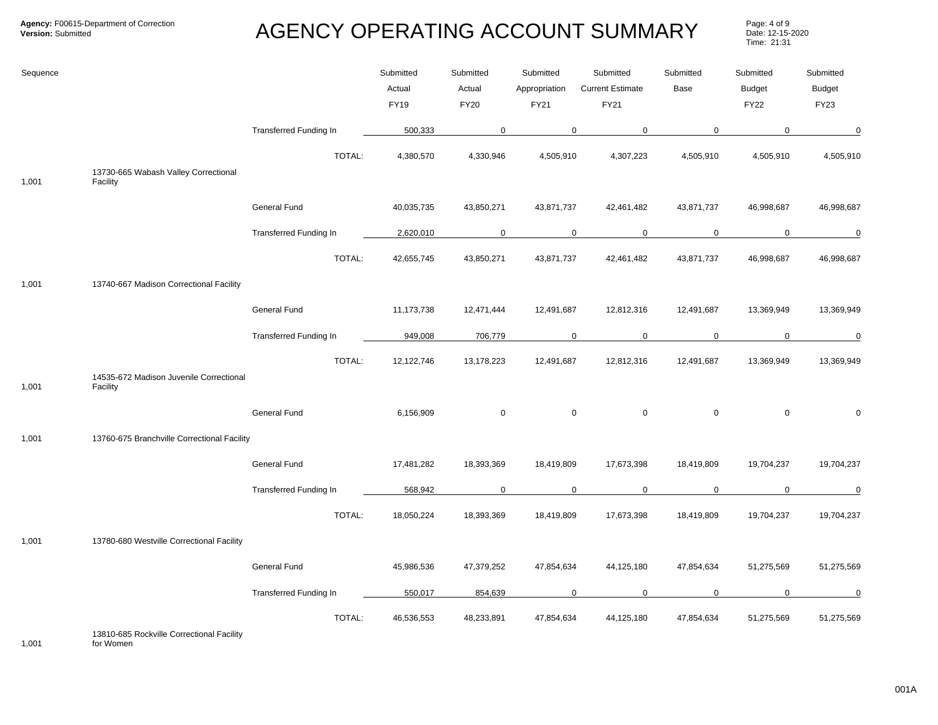Page: 4 of 9<br>Date: 12-15-2020 Time: 21:31

| Sequence |                                                     |                               | Submitted<br>Actual<br><b>FY19</b> | Submitted<br>Actual<br><b>FY20</b> | Submitted<br>Appropriation<br>FY21 | Submitted<br><b>Current Estimate</b><br>FY21 | Submitted<br>Base | Submitted<br><b>Budget</b><br><b>FY22</b> | Submitted<br><b>Budget</b><br><b>FY23</b> |
|----------|-----------------------------------------------------|-------------------------------|------------------------------------|------------------------------------|------------------------------------|----------------------------------------------|-------------------|-------------------------------------------|-------------------------------------------|
|          |                                                     | <b>Transferred Funding In</b> | 500,333                            | 0                                  | $\mathbf 0$                        | $\mathbf 0$                                  | $\mathbf 0$       | $\mathbf 0$                               | $\mathbf 0$                               |
| 1,001    | 13730-665 Wabash Valley Correctional<br>Facility    | TOTAL:                        | 4,380,570                          | 4,330,946                          | 4,505,910                          | 4,307,223                                    | 4,505,910         | 4,505,910                                 | 4,505,910                                 |
|          |                                                     | General Fund                  | 40,035,735                         | 43,850,271                         | 43,871,737                         | 42,461,482                                   | 43,871,737        | 46,998,687                                | 46,998,687                                |
|          |                                                     | <b>Transferred Funding In</b> | 2,620,010                          | $\mathbf 0$                        | $\mathbf 0$                        | $\mathbf 0$                                  | $\mathbf 0$       | $\mathbf 0$                               | $\mathbf 0$                               |
|          |                                                     | TOTAL:                        | 42,655,745                         | 43,850,271                         | 43,871,737                         | 42,461,482                                   | 43,871,737        | 46,998,687                                | 46,998,687                                |
| 1,001    | 13740-667 Madison Correctional Facility             |                               |                                    |                                    |                                    |                                              |                   |                                           |                                           |
|          |                                                     | General Fund                  | 11,173,738                         | 12,471,444                         | 12,491,687                         | 12,812,316                                   | 12,491,687        | 13,369,949                                | 13,369,949                                |
|          |                                                     | Transferred Funding In        | 949,008                            | 706,779                            | $\mathbf 0$                        | $\mathbf 0$                                  | $\mathbf 0$       | $\mathbf 0$                               | $\overline{0}$                            |
| 1,001    | 14535-672 Madison Juvenile Correctional<br>Facility | TOTAL:                        | 12,122,746                         | 13,178,223                         | 12,491,687                         | 12,812,316                                   | 12,491,687        | 13,369,949                                | 13,369,949                                |
|          |                                                     | General Fund                  | 6,156,909                          | $\mathsf 0$                        | $\boldsymbol{0}$                   | $\mathsf{O}\xspace$                          | $\mathsf 0$       | $\mathbf 0$                               | $\Omega$                                  |
| 1,001    | 13760-675 Branchville Correctional Facility         |                               |                                    |                                    |                                    |                                              |                   |                                           |                                           |
|          |                                                     | General Fund                  | 17,481,282                         | 18,393,369                         | 18,419,809                         | 17,673,398                                   | 18,419,809        | 19,704,237                                | 19,704,237                                |
|          |                                                     | <b>Transferred Funding In</b> | 568,942                            | $\mathbf 0$                        | $\mathbf 0$                        | $\mathbf 0$                                  | $\mathbf 0$       | 0                                         | $\mathbf 0$                               |
|          |                                                     | TOTAL:                        | 18,050,224                         | 18,393,369                         | 18,419,809                         | 17,673,398                                   | 18,419,809        | 19,704,237                                | 19,704,237                                |
| 1,001    | 13780-680 Westville Correctional Facility           |                               |                                    |                                    |                                    |                                              |                   |                                           |                                           |
|          |                                                     | General Fund                  | 45,986,536                         | 47,379,252                         | 47,854,634                         | 44,125,180                                   | 47,854,634        | 51,275,569                                | 51,275,569                                |
|          |                                                     | Transferred Funding In        | 550,017                            | 854,639                            | 0                                  | $\mathsf 0$                                  | $\mathsf 0$       | $\mathsf{O}$                              | $\mathsf 0$                               |
|          |                                                     | TOTAL:                        | 46,536,553                         | 48,233,891                         | 47,854,634                         | 44,125,180                                   | 47,854,634        | 51,275,569                                | 51,275,569                                |

for Women No Funding Type 0 0 0 0 0 0 0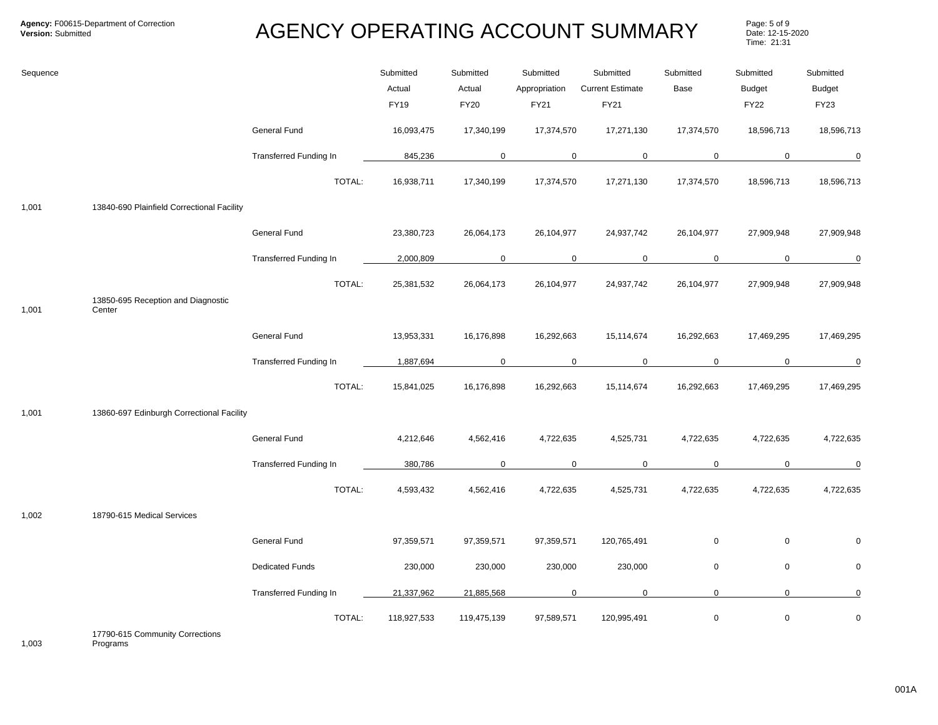Page: 5 of 9<br>Date: 12-15-2020 Time: 21:31

| Sequence |                                              |                               | Submitted<br>Actual<br><b>FY19</b> | Submitted<br>Actual<br><b>FY20</b> | Submitted<br>Appropriation<br>FY21 | Submitted<br><b>Current Estimate</b><br>FY21 | Submitted<br>Base | Submitted<br><b>Budget</b><br><b>FY22</b> | Submitted<br><b>Budget</b><br><b>FY23</b> |
|----------|----------------------------------------------|-------------------------------|------------------------------------|------------------------------------|------------------------------------|----------------------------------------------|-------------------|-------------------------------------------|-------------------------------------------|
|          |                                              | General Fund                  | 16,093,475                         | 17,340,199                         | 17,374,570                         | 17,271,130                                   | 17,374,570        | 18,596,713                                | 18,596,713                                |
|          |                                              | Transferred Funding In        | 845,236                            | $\mathbf 0$                        | $\mathbf 0$                        | $\mathbf 0$                                  | $\mathbf 0$       | $\mathbf 0$                               | 0                                         |
|          |                                              | TOTAL:                        | 16,938,711                         | 17,340,199                         | 17,374,570                         | 17,271,130                                   | 17,374,570        | 18,596,713                                | 18,596,713                                |
| 1,001    | 13840-690 Plainfield Correctional Facility   |                               |                                    |                                    |                                    |                                              |                   |                                           |                                           |
|          |                                              | General Fund                  | 23,380,723                         | 26,064,173                         | 26,104,977                         | 24,937,742                                   | 26,104,977        | 27,909,948                                | 27,909,948                                |
|          |                                              | <b>Transferred Funding In</b> | 2,000,809                          | 0                                  | 0                                  | $\mathbf 0$                                  | 0                 | 0                                         | $\mathbf 0$                               |
| 1,001    | 13850-695 Reception and Diagnostic<br>Center | TOTAL:                        | 25,381,532                         | 26,064,173                         | 26,104,977                         | 24,937,742                                   | 26,104,977        | 27,909,948                                | 27,909,948                                |
|          |                                              | General Fund                  | 13,953,331                         | 16,176,898                         | 16,292,663                         | 15,114,674                                   | 16,292,663        | 17,469,295                                | 17,469,295                                |
|          |                                              | Transferred Funding In        | 1,887,694                          | $\mathbf 0$                        | $\mathbf 0$                        | $\mathbf 0$                                  | $\mathbf 0$       | $\mathsf{O}$                              | $\mathbf 0$                               |
|          |                                              | TOTAL:                        | 15,841,025                         | 16,176,898                         | 16,292,663                         | 15,114,674                                   | 16,292,663        | 17,469,295                                | 17,469,295                                |
| 1,001    | 13860-697 Edinburgh Correctional Facility    |                               |                                    |                                    |                                    |                                              |                   |                                           |                                           |
|          |                                              | General Fund                  | 4,212,646                          | 4,562,416                          | 4,722,635                          | 4,525,731                                    | 4,722,635         | 4,722,635                                 | 4,722,635                                 |
|          |                                              | <b>Transferred Funding In</b> | 380,786                            | $\mathsf 0$                        | $\mathbf 0$                        | $\mathsf 0$                                  | $\mathsf 0$       | $\mathsf{O}$                              | $\pmb{0}$                                 |
|          |                                              | TOTAL:                        | 4,593,432                          | 4,562,416                          | 4,722,635                          | 4,525,731                                    | 4,722,635         | 4,722,635                                 | 4,722,635                                 |
| 1,002    | 18790-615 Medical Services                   |                               |                                    |                                    |                                    |                                              |                   |                                           |                                           |
|          |                                              | General Fund                  | 97,359,571                         | 97,359,571                         | 97,359,571                         | 120,765,491                                  | $\mathbf 0$       | $\mathbf 0$                               | $\mathbf 0$                               |
|          |                                              | <b>Dedicated Funds</b>        | 230,000                            | 230,000                            | 230,000                            | 230,000                                      | $\mathbf 0$       | $\mathsf{O}$                              | 0                                         |
|          |                                              | Transferred Funding In        | 21,337,962                         | 21,885,568                         | $\mathbf 0$                        | 0                                            | $\mathbf 0$       | $\overline{0}$                            | 0                                         |
|          | $17700 \, 0150$ $\ldots$ 0                   | TOTAL:                        | 118,927,533                        | 119,475,139                        | 97,589,571                         | 120,995,491                                  | $\mathsf 0$       | $\mathbf 0$                               | 0                                         |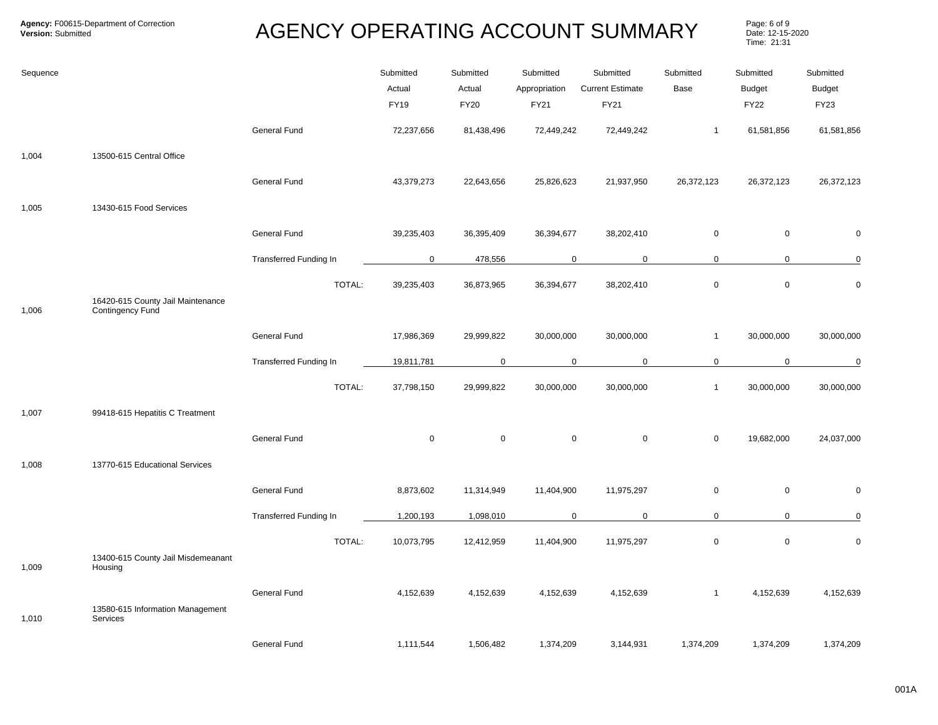Page: 6 of 9<br>Date: 12-15-2020 Time: 21:31

| Sequence |                                                       |                               | Submitted<br>Actual<br>FY19 | Submitted<br>Actual<br><b>FY20</b> | Submitted<br>Appropriation<br>FY21 | Submitted<br><b>Current Estimate</b><br>FY21 | Submitted<br>Base | Submitted<br><b>Budget</b><br><b>FY22</b> | Submitted<br><b>Budget</b><br>FY23 |
|----------|-------------------------------------------------------|-------------------------------|-----------------------------|------------------------------------|------------------------------------|----------------------------------------------|-------------------|-------------------------------------------|------------------------------------|
|          |                                                       | General Fund                  | 72,237,656                  | 81,438,496                         | 72,449,242                         | 72,449,242                                   | $\mathbf{1}$      | 61,581,856                                | 61,581,856                         |
| 1,004    | 13500-615 Central Office                              |                               |                             |                                    |                                    |                                              |                   |                                           |                                    |
|          |                                                       | General Fund                  | 43,379,273                  | 22,643,656                         | 25,826,623                         | 21,937,950                                   | 26,372,123        | 26,372,123                                | 26,372,123                         |
| 1,005    | 13430-615 Food Services                               |                               |                             |                                    |                                    |                                              |                   |                                           |                                    |
|          |                                                       | General Fund                  | 39,235,403                  | 36,395,409                         | 36,394,677                         | 38,202,410                                   | $\mathbf 0$       | $\mathbf 0$                               | $\mathbf 0$                        |
|          |                                                       | <b>Transferred Funding In</b> | $\mathbf 0$                 | 478,556                            | $\mathsf{O}$                       | $\mathbf 0$                                  | $\mathbf 0$       | $\mathbf 0$                               | $\pmb{0}$                          |
|          |                                                       | TOTAL:                        | 39,235,403                  | 36,873,965                         | 36,394,677                         | 38,202,410                                   | $\pmb{0}$         | $\mathbf 0$                               | $\pmb{0}$                          |
| 1,006    | 16420-615 County Jail Maintenance<br>Contingency Fund |                               |                             |                                    |                                    |                                              |                   |                                           |                                    |
|          |                                                       | General Fund                  | 17,986,369                  | 29,999,822                         | 30,000,000                         | 30,000,000                                   | $\mathbf{1}$      | 30,000,000                                | 30,000,000                         |
|          |                                                       | <b>Transferred Funding In</b> | 19,811,781                  | $\mathbf 0$                        | 0                                  | $\mathbf 0$                                  | 0                 | $\mathbf 0$                               | $\overline{0}$                     |
|          |                                                       | TOTAL:                        | 37,798,150                  | 29,999,822                         | 30,000,000                         | 30,000,000                                   | $\mathbf{1}$      | 30,000,000                                | 30,000,000                         |
| 1,007    | 99418-615 Hepatitis C Treatment                       |                               |                             |                                    |                                    |                                              |                   |                                           |                                    |
|          |                                                       | General Fund                  | $\mathbf 0$                 | $\mathbf 0$                        | $\mathsf{O}$                       | $\mathbf 0$                                  | $\mathbf 0$       | 19,682,000                                | 24,037,000                         |
| 1,008    | 13770-615 Educational Services                        |                               |                             |                                    |                                    |                                              |                   |                                           |                                    |
|          |                                                       | General Fund                  | 8,873,602                   | 11,314,949                         | 11,404,900                         | 11,975,297                                   | $\mathsf 0$       | $\mathbf 0$                               | $\mathbf 0$                        |
|          |                                                       | Transferred Funding In        | 1,200,193                   | 1,098,010                          | 0                                  | $\mathbf 0$                                  | $\mathbf 0$       | $\mathbf 0$                               | $\pmb{0}$                          |
|          |                                                       | TOTAL:                        | 10,073,795                  | 12,412,959                         | 11,404,900                         | 11,975,297                                   | $\mathbf 0$       | $\mathbf 0$                               | $\mathbf 0$                        |
| 1,009    | 13400-615 County Jail Misdemeanant<br>Housing         |                               |                             |                                    |                                    |                                              |                   |                                           |                                    |
| 1,010    | 13580-615 Information Management<br>Services          | <b>General Fund</b>           | 4,152,639                   | 4,152,639                          | 4,152,639                          | 4,152,639                                    | $\mathbf{1}$      | 4,152,639                                 | 4,152,639                          |
|          |                                                       | General Fund                  | 1,111,544                   | 1,506,482                          | 1,374,209                          | 3,144,931                                    | 1,374,209         | 1,374,209                                 | 1,374,209                          |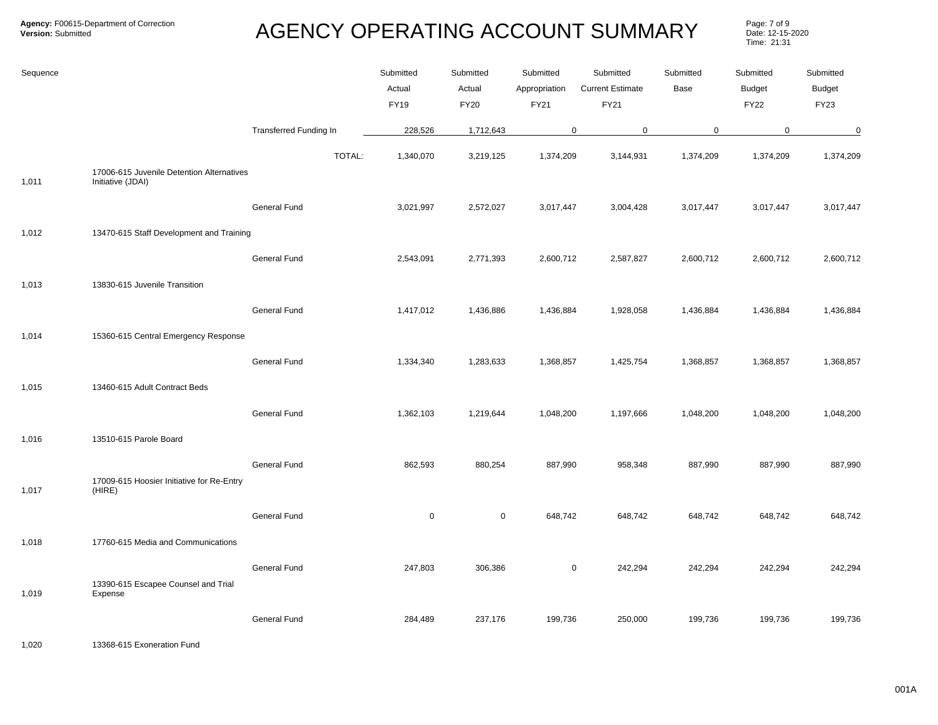Page: 7 of 9<br>Date: 12-15-2020 Time: 21:31

| Sequence |                                                                |                        | Submitted<br>Actual<br><b>FY19</b> | Submitted<br>Actual<br>FY20 | Submitted<br>Appropriation<br><b>FY21</b> | Submitted<br><b>Current Estimate</b><br>FY21 | Submitted<br>Base | Submitted<br><b>Budget</b><br><b>FY22</b> | Submitted<br><b>Budget</b><br><b>FY23</b> |
|----------|----------------------------------------------------------------|------------------------|------------------------------------|-----------------------------|-------------------------------------------|----------------------------------------------|-------------------|-------------------------------------------|-------------------------------------------|
|          |                                                                | Transferred Funding In | 228,526                            | 1,712,643                   | 0                                         | $\pmb{0}$                                    | $\mathsf 0$       | $\mathbf 0$                               | $\overline{0}$                            |
| 1,011    | 17006-615 Juvenile Detention Alternatives<br>Initiative (JDAI) | TOTAL:                 | 1,340,070                          | 3,219,125                   | 1,374,209                                 | 3,144,931                                    | 1,374,209         | 1,374,209                                 | 1,374,209                                 |
|          |                                                                | General Fund           | 3,021,997                          | 2,572,027                   | 3,017,447                                 | 3,004,428                                    | 3,017,447         | 3,017,447                                 | 3,017,447                                 |
| 1,012    | 13470-615 Staff Development and Training                       | General Fund           | 2,543,091                          | 2,771,393                   | 2,600,712                                 | 2,587,827                                    | 2,600,712         | 2,600,712                                 | 2,600,712                                 |
| 1,013    | 13830-615 Juvenile Transition                                  |                        |                                    |                             |                                           |                                              |                   |                                           |                                           |
| 1,014    | 15360-615 Central Emergency Response                           | General Fund           | 1,417,012                          | 1,436,886                   | 1,436,884                                 | 1,928,058                                    | 1,436,884         | 1,436,884                                 | 1,436,884                                 |
| 1,015    | 13460-615 Adult Contract Beds                                  | General Fund           | 1,334,340                          | 1,283,633                   | 1,368,857                                 | 1,425,754                                    | 1,368,857         | 1,368,857                                 | 1,368,857                                 |
|          |                                                                | General Fund           | 1,362,103                          | 1,219,644                   | 1,048,200                                 | 1,197,666                                    | 1,048,200         | 1,048,200                                 | 1,048,200                                 |
| 1,016    | 13510-615 Parole Board                                         |                        |                                    |                             |                                           |                                              |                   |                                           |                                           |
| 1,017    | 17009-615 Hoosier Initiative for Re-Entry<br>(HIRE)            | <b>General Fund</b>    | 862,593                            | 880,254                     | 887,990                                   | 958,348                                      | 887,990           | 887,990                                   | 887,990                                   |
|          |                                                                | General Fund           | $\mathbf 0$                        | $\mathbf 0$                 | 648,742                                   | 648,742                                      | 648,742           | 648,742                                   | 648,742                                   |
| 1,018    | 17760-615 Media and Communications                             |                        |                                    |                             |                                           |                                              |                   |                                           |                                           |
| 1,019    | 13390-615 Escapee Counsel and Trial<br>Expense                 | <b>General Fund</b>    | 247,803                            | 306,386                     | 0                                         | 242,294                                      | 242,294           | 242,294                                   | 242,294                                   |
|          |                                                                | General Fund           | 284,489                            | 237,176                     | 199,736                                   | 250,000                                      | 199,736           | 199,736                                   | 199,736                                   |

1,020 13368-615 Exoneration Fund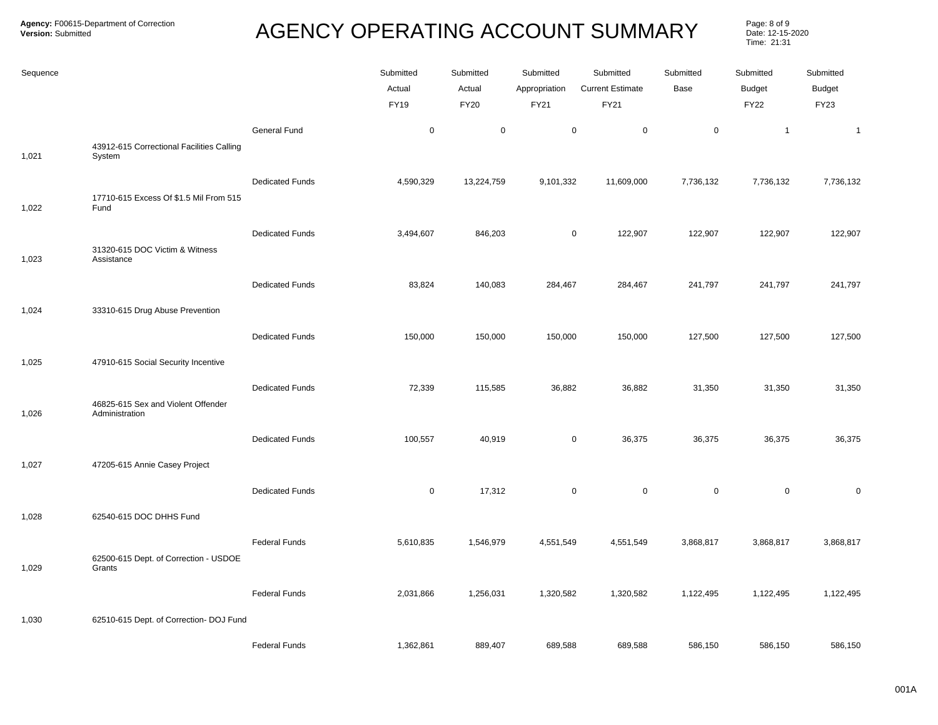Page: 8 of 9<br>Date: 12-15-2020 Time: 21:31

| Sequence |                                                      |                        | Submitted<br>Actual<br><b>FY19</b> | Submitted<br>Actual<br>FY20 | Submitted<br>Appropriation<br>FY21 | Submitted<br><b>Current Estimate</b><br><b>FY21</b> | Submitted<br>Base | Submitted<br><b>Budget</b><br><b>FY22</b> | Submitted<br><b>Budget</b><br><b>FY23</b> |
|----------|------------------------------------------------------|------------------------|------------------------------------|-----------------------------|------------------------------------|-----------------------------------------------------|-------------------|-------------------------------------------|-------------------------------------------|
| 1,021    | 43912-615 Correctional Facilities Calling<br>System  | <b>General Fund</b>    | $\mathbf 0$                        | $\mathbf 0$                 | $\mathsf 0$                        | $\mathsf 0$                                         | $\mathbf 0$       | $\mathbf{1}$                              | $\mathbf{1}$                              |
|          | 17710-615 Excess Of \$1.5 Mil From 515               | <b>Dedicated Funds</b> | 4,590,329                          | 13,224,759                  | 9,101,332                          | 11,609,000                                          | 7,736,132         | 7,736,132                                 | 7,736,132                                 |
| 1,022    | Fund<br>31320-615 DOC Victim & Witness               | <b>Dedicated Funds</b> | 3,494,607                          | 846,203                     | $\mathbf 0$                        | 122,907                                             | 122,907           | 122,907                                   | 122,907                                   |
| 1,023    | Assistance                                           | <b>Dedicated Funds</b> | 83,824                             | 140,083                     | 284,467                            | 284,467                                             | 241,797           | 241,797                                   | 241,797                                   |
| 1,024    | 33310-615 Drug Abuse Prevention                      | <b>Dedicated Funds</b> | 150,000                            | 150,000                     | 150,000                            | 150,000                                             | 127,500           | 127,500                                   | 127,500                                   |
| 1,025    | 47910-615 Social Security Incentive                  |                        |                                    |                             |                                    |                                                     |                   |                                           |                                           |
| 1,026    | 46825-615 Sex and Violent Offender<br>Administration | <b>Dedicated Funds</b> | 72,339                             | 115,585                     | 36,882                             | 36,882                                              | 31,350            | 31,350                                    | 31,350                                    |
| 1,027    | 47205-615 Annie Casey Project                        | <b>Dedicated Funds</b> | 100,557                            | 40,919                      | $\mathsf 0$                        | 36,375                                              | 36,375            | 36,375                                    | 36,375                                    |
|          |                                                      | <b>Dedicated Funds</b> | $\mathsf 0$                        | 17,312                      | $\mathsf 0$                        | $\mathsf 0$                                         | $\mathsf 0$       | $\mathbf 0$                               | $\mathbf 0$                               |
| 1,028    | 62540-615 DOC DHHS Fund                              | <b>Federal Funds</b>   | 5,610,835                          | 1,546,979                   | 4,551,549                          | 4,551,549                                           | 3,868,817         | 3,868,817                                 | 3,868,817                                 |
| 1,029    | 62500-615 Dept. of Correction - USDOE<br>Grants      | <b>Federal Funds</b>   | 2,031,866                          | 1,256,031                   | 1,320,582                          | 1,320,582                                           | 1,122,495         | 1,122,495                                 | 1,122,495                                 |
| 1,030    | 62510-615 Dept. of Correction- DOJ Fund              |                        |                                    |                             |                                    |                                                     |                   |                                           |                                           |
|          |                                                      | <b>Federal Funds</b>   | 1,362,861                          | 889,407                     | 689,588                            | 689,588                                             | 586,150           | 586,150                                   | 586,150                                   |